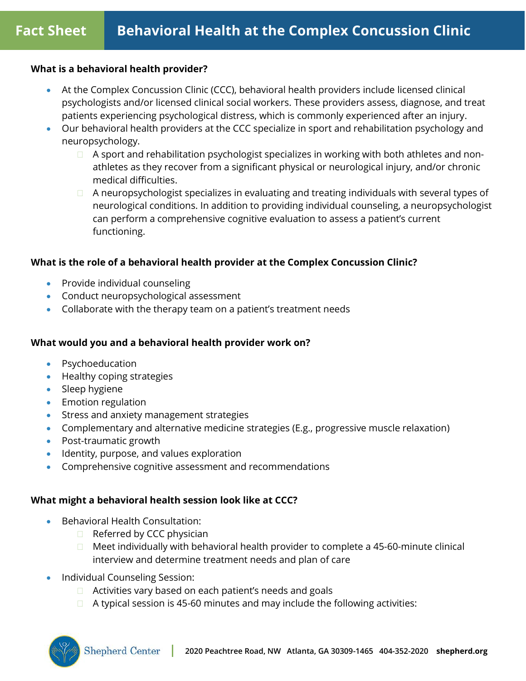#### **What is a behavioral health provider?**

- At the Complex Concussion Clinic (CCC), behavioral health providers include licensed clinical psychologists and/or licensed clinical social workers. These providers assess, diagnose, and treat patients experiencing psychological distress, which is commonly experienced after an injury.
- Our behavioral health providers at the CCC specialize in sport and rehabilitation psychology and neuropsychology.
	- $\Box$  A sport and rehabilitation psychologist specializes in working with both athletes and nonathletes as they recover from a significant physical or neurological injury, and/or chronic medical difficulties.
	- □ A neuropsychologist specializes in evaluating and treating individuals with several types of neurological conditions. In addition to providing individual counseling, a neuropsychologist can perform a comprehensive cognitive evaluation to assess a patient's current functioning.

## **What is the role of a behavioral health provider at the Complex Concussion Clinic?**

- Provide individual counseling
- Conduct neuropsychological assessment
- Collaborate with the therapy team on a patient's treatment needs

## **What would you and a behavioral health provider work on?**

- Psychoeducation
- Healthy coping strategies
- Sleep hygiene
- Emotion regulation
- Stress and anxiety management strategies
- Complementary and alternative medicine strategies (E.g., progressive muscle relaxation)
- Post-traumatic growth
- Identity, purpose, and values exploration
- Comprehensive cognitive assessment and recommendations

## **What might a behavioral health session look like at CCC?**

- Behavioral Health Consultation:
	- $\Box$  Referred by CCC physician
	- $\Box$  Meet individually with behavioral health provider to complete a 45-60-minute clinical interview and determine treatment needs and plan of care
- Individual Counseling Session:
	- □ Activities vary based on each patient's needs and goals
	- $\Box$  A typical session is 45-60 minutes and may include the following activities: